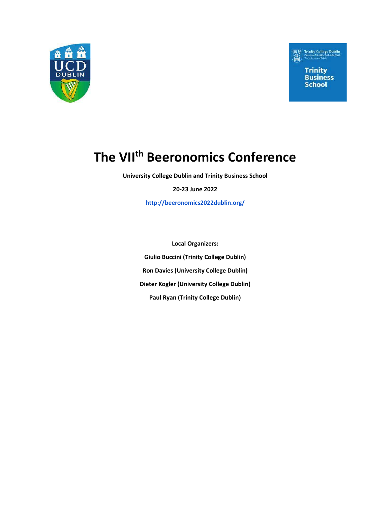



# The VII<sup>th</sup> Beeronomics Conference

University College Dublin and Trinity Business School

20-23 June 2022

http://beeronomics2022dublin.org/

Local Organizers: Giulio Buccini (Trinity College Dublin) Ron Davies (University College Dublin) Dieter Kogler (University College Dublin) Paul Ryan (Trinity College Dublin)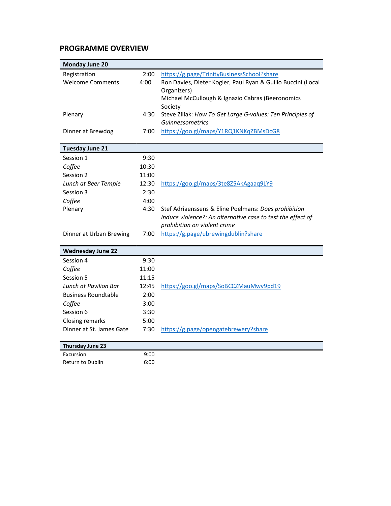### PROGRAMME OVERVIEW

| <b>Monday June 20</b>        |       |                                                              |
|------------------------------|-------|--------------------------------------------------------------|
| Registration                 | 2:00  | https://g.page/TrinityBusinessSchool?share                   |
| <b>Welcome Comments</b>      | 4:00  | Ron Davies, Dieter Kogler, Paul Ryan & Guilio Buccini (Local |
|                              |       | Organizers)                                                  |
|                              |       | Michael McCullough & Ignazio Cabras (Beeronomics             |
|                              |       | Society                                                      |
| Plenary                      | 4:30  | Steve Ziliak: How To Get Large G-values: Ten Principles of   |
|                              | 7:00  | Guinnessometrics<br>https://goo.gl/maps/Y1RQ1KNKqZBMsDcG8    |
| Dinner at Brewdog            |       |                                                              |
| <b>Tuesday June 21</b>       |       |                                                              |
| Session 1                    | 9:30  |                                                              |
| Coffee                       | 10:30 |                                                              |
| Session 2                    | 11:00 |                                                              |
| Lunch at Beer Temple         | 12:30 | https://goo.gl/maps/3te8Z5AkAgaaq9LY9                        |
| Session 3                    | 2:30  |                                                              |
| Coffee                       | 4:00  |                                                              |
| Plenary                      | 4:30  | Stef Adriaenssens & Eline Poelmans: Does prohibition         |
|                              |       | induce violence?: An alternative case to test the effect of  |
|                              |       | prohibition on violent crime                                 |
| Dinner at Urban Brewing      | 7:00  | https://g.page/ubrewingdublin?share                          |
| <b>Wednesday June 22</b>     |       |                                                              |
| Session 4                    | 9:30  |                                                              |
| Coffee                       | 11:00 |                                                              |
| Session 5                    | 11:15 |                                                              |
| <b>Lunch at Pavilion Bar</b> | 12:45 | https://goo.gl/maps/SoBCCZMauMwv9pd19                        |
| <b>Business Roundtable</b>   | 2:00  |                                                              |
| Coffee                       | 3:00  |                                                              |
| Session 6                    | 3:30  |                                                              |
| Closing remarks              | 5:00  |                                                              |
| Dinner at St. James Gate     | 7:30  | https://g.page/opengatebrewery?share                         |
| Thursday June 23             |       |                                                              |
| Excursion                    | 9:00  |                                                              |
| Return to Dublin             | 6:00  |                                                              |
|                              |       |                                                              |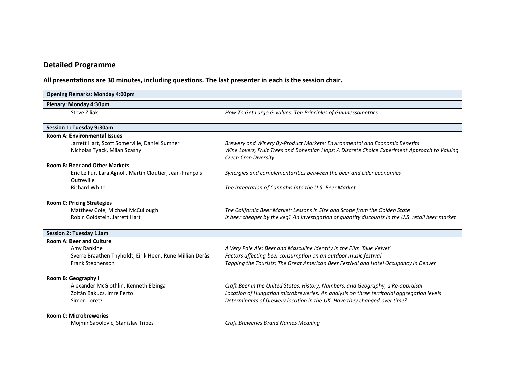## Detailed Programme

All presentations are 30 minutes, including questions. The last presenter in each is the session chair.

| <b>Opening Remarks: Monday 4:00pm</b>                                  |                                                                                                                                                                                  |
|------------------------------------------------------------------------|----------------------------------------------------------------------------------------------------------------------------------------------------------------------------------|
| Plenary: Monday 4:30pm                                                 |                                                                                                                                                                                  |
| Steve Ziliak                                                           | How To Get Large G-values: Ten Principles of Guinnessometrics                                                                                                                    |
| Session 1: Tuesday 9:30am                                              |                                                                                                                                                                                  |
| <b>Room A: Environmental Issues</b>                                    |                                                                                                                                                                                  |
| Jarrett Hart, Scott Somerville, Daniel Sumner                          | Brewery and Winery By-Product Markets: Environmental and Economic Benefits                                                                                                       |
| Nicholas Tyack, Milan Scasny                                           | Wine Lovers, Fruit Trees and Bohemian Hops: A Discrete Choice Experiment Approach to Valuing<br>Czech Crop Diversity                                                             |
| <b>Room B: Beer and Other Markets</b>                                  |                                                                                                                                                                                  |
| Eric Le Fur, Lara Agnoli, Martin Cloutier, Jean-François<br>Outreville | Synergies and complementarities between the beer and cider economies                                                                                                             |
| <b>Richard White</b>                                                   | The Integration of Cannabis into the U.S. Beer Market                                                                                                                            |
| <b>Room C: Pricing Strategies</b>                                      |                                                                                                                                                                                  |
| Matthew Cole, Michael McCullough<br>Robin Goldstein, Jarrett Hart      | The California Beer Market: Lessons in Size and Scope from the Golden State<br>Is beer cheaper by the keg? An investigation of quantity discounts in the U.S. retail beer market |
| Session 2: Tuesday 11am                                                |                                                                                                                                                                                  |
| <b>Room A: Beer and Culture</b>                                        |                                                                                                                                                                                  |
| Amy Rankine                                                            | A Very Pale Ale: Beer and Masculine Identity in the Film 'Blue Velvet'                                                                                                           |
| Sverre Braathen Thyholdt, Eirik Heen, Rune Millian Derås               | Factors affecting beer consumption on an outdoor music festival                                                                                                                  |
| Frank Stephenson                                                       | Tapping the Tourists: The Great American Beer Festival and Hotel Occupancy in Denver                                                                                             |
| Room B: Geography I                                                    |                                                                                                                                                                                  |
| Alexander McGlothlin, Kenneth Elzinga                                  | Craft Beer in the United States: History, Numbers, and Geography, a Re-appraisal                                                                                                 |
| Zoltán Bakucs, Imre Ferto<br>Simon Loretz                              | Location of Hungarian microbreweries. An analysis on three territorial aggregation levels<br>Determinants of brewery location in the UK: Have they changed over time?            |
|                                                                        |                                                                                                                                                                                  |
| <b>Room C: Microbreweries</b>                                          |                                                                                                                                                                                  |
| Mojmir Sabolovic, Stanislav Tripes                                     | <b>Craft Breweries Brand Names Meaning</b>                                                                                                                                       |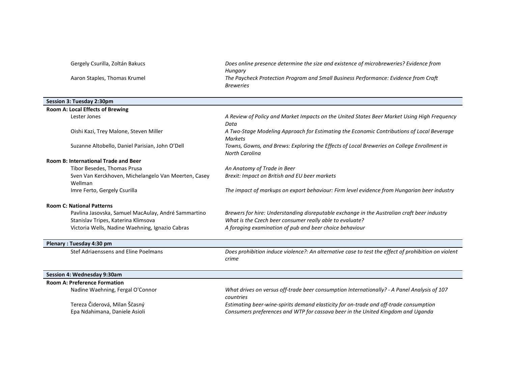Gergely Csurilla, Zoltán Bakucs Does online presence determine the size and existence of microbreweries? Evidence from

Aaron Staples, Thomas Krumel The Paycheck Protection Program and Small Business Performance: Evidence from Craft

#### Session 3: Tuesday 2:30pm

| <b>Room A: Local Effects of Brewing</b>              |                                                                                                     |
|------------------------------------------------------|-----------------------------------------------------------------------------------------------------|
| Lester Jones                                         | A Review of Policy and Market Impacts on the United States Beer Market Using High Frequency         |
|                                                      | Data                                                                                                |
| Oishi Kazi, Trey Malone, Steven Miller               | A Two-Stage Modeling Approach for Estimating the Economic Contributions of Local Beverage           |
|                                                      | Markets                                                                                             |
| Suzanne Altobello, Daniel Parisian, John O'Dell      | Towns, Gowns, and Brews: Exploring the Effects of Local Breweries on College Enrollment in          |
|                                                      | North Carolina                                                                                      |
| <b>Room B: International Trade and Beer</b>          |                                                                                                     |
| Tibor Besedes, Thomas Prusa                          | An Anatomy of Trade in Beer                                                                         |
| Sven Van Kerckhoven, Michelangelo Van Meerten, Casey | Brexit: Impact on British and EU beer markets                                                       |
| Wellman                                              |                                                                                                     |
| Imre Ferto, Gergely Csurilla                         | The impact of markups on export behaviour: Firm level evidence from Hungarian beer industry         |
| <b>Room C: National Patterns</b>                     |                                                                                                     |
| Pavlina Jasovska, Samuel MacAulay, André Sammartino  | Brewers for hire: Understanding disreputable exchange in the Australian craft beer industry         |
| Stanislav Tripes, Katerina Klimsova                  | What is the Czech beer consumer really able to evaluate?                                            |
| Victoria Wells, Nadine Waehning, Ignazio Cabras      | A foraging examination of pub and beer choice behaviour                                             |
|                                                      |                                                                                                     |
| Plenary: Tuesday 4:30 pm                             |                                                                                                     |
| Stef Adriaenssens and Eline Poelmans                 | Does prohibition induce violence?: An alternative case to test the effect of prohibition on violent |
|                                                      | crime                                                                                               |
|                                                      |                                                                                                     |

Hungary

Breweries

#### Session 4: Wednesday 9:30am

| <b>Room A: Preference Formation</b> |                                                                                             |
|-------------------------------------|---------------------------------------------------------------------------------------------|
| Nadine Waehning, Fergal O'Connor    | What drives on versus off-trade beer consumption Internationally? - A Panel Analysis of 107 |
|                                     | countries                                                                                   |
| Tereza Čiderová, Milan Ščasný       | Estimating beer-wine-spirits demand elasticity for on-trade and off-trade consumption       |
| Epa Ndahimana, Daniele Asioli       | Consumers preferences and WTP for cassava beer in the United Kingdom and Uganda             |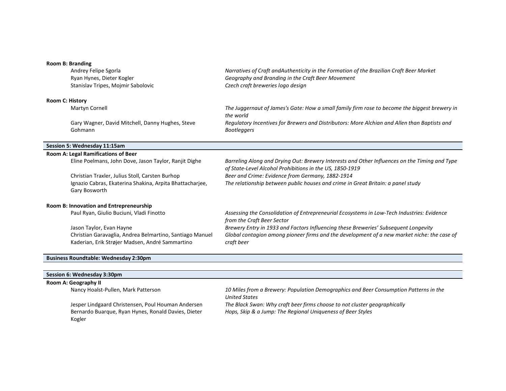#### Room B: Branding

| Andrey Felipe Sgorla                                     | Narratives of Craft and Authenticity in the Formation of the Brazilian Craft Beer Market                                                                  |
|----------------------------------------------------------|-----------------------------------------------------------------------------------------------------------------------------------------------------------|
| Ryan Hynes, Dieter Kogler                                | Geography and Branding in the Craft Beer Movement                                                                                                         |
| Stanislav Tripes, Mojmir Sabolovic                       | Czech craft breweries logo design                                                                                                                         |
| <b>Room C: History</b>                                   |                                                                                                                                                           |
| Martyn Cornell                                           | The Juggernaut of James's Gate: How a small family firm rose to become the biggest brewery in<br>the world                                                |
| Gary Wagner, David Mitchell, Danny Hughes, Steve         | Regulatory Incentives for Brewers and Distributors: More Alchian and Allen than Baptists and                                                              |
| Gohmann                                                  | <b>Bootleggers</b>                                                                                                                                        |
| Session 5: Wednesday 11:15am                             |                                                                                                                                                           |
| Room A: Legal Ramifications of Beer                      |                                                                                                                                                           |
| Eline Poelmans, John Dove, Jason Taylor, Ranjit Dighe    | Barreling Along and Drying Out: Brewery Interests and Other Influences on the Timing and Type<br>of State-Level Alcohol Prohibitions in the US, 1850-1919 |
| Christian Traxler, Julius Stoll, Carsten Burhop          | Beer and Crime: Evidence from Germany, 1882-1914                                                                                                          |
| Ignazio Cabras, Ekaterina Shakina, Arpita Bhattachariee, | The relationship between public houses and crime in Great Britain: a panel study                                                                          |

#### Room B: Innovation and Entrepreneurship

Gary Bosworth

| Paul Ryan, Giulio Buciuni, Vladi Finotto                 | Assessing the Consolidation of Entrepreneurial Ecosystems in Low-Tech Industries: Evidence  |
|----------------------------------------------------------|---------------------------------------------------------------------------------------------|
|                                                          | from the Craft Beer Sector                                                                  |
| Jason Taylor, Evan Hayne                                 | Brewery Entry in 1933 and Factors Influencing these Breweries' Subsequent Longevity         |
| Christian Garavaglia, Andrea Belmartino, Santiago Manuel | Global contagion among pioneer firms and the development of a new market niche: the case of |
| Kaderian, Erik Strøjer Madsen, André Sammartino          | craft beer                                                                                  |

#### Business Roundtable: Wednesday 2:30pm

#### Session 6: Wednesday 3:30pm

| Room A: Geography II                                          |                                                                                                        |  |
|---------------------------------------------------------------|--------------------------------------------------------------------------------------------------------|--|
| Nancy Hoalst-Pullen, Mark Patterson                           | 10 Miles from a Brewery: Population Demographics and Beer Consumption Patterns in the<br>United States |  |
| Jesper Lindgaard Christensen, Poul Houman Andersen            | The Black Swan: Why craft beer firms choose to not cluster geographically                              |  |
| Bernardo Buarque, Ryan Hynes, Ronald Davies, Dieter<br>Kogler | Hops, Skip & a Jump: The Regional Uniqueness of Beer Styles                                            |  |